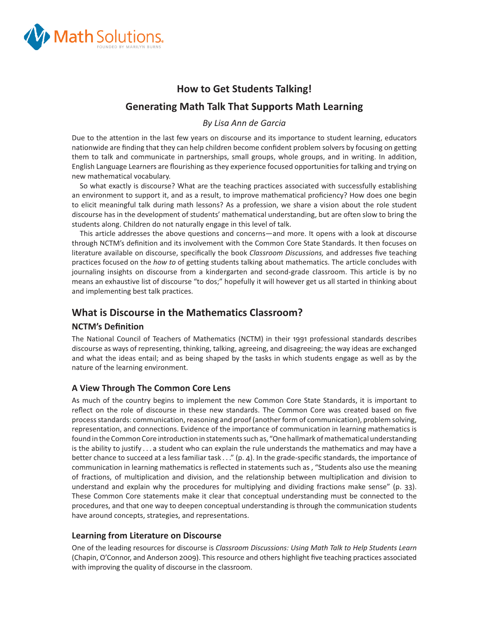

# **How to Get Students Talking! Generating Math Talk That Supports Math Learning**

*By Lisa Ann de Garcia*

Due to the attention in the last few years on discourse and its importance to student learning, educators nationwide are finding that they can help children become confident problem solvers by focusing on getting them to talk and communicate in partnerships, small groups, whole groups, and in writing. In addition, English Language Learners are flourishing as they experience focused opportunities for talking and trying on new mathematical vocabulary.

So what exactly is discourse? What are the teaching practices associated with successfully establishing an environment to support it, and as a result, to improve mathematical proficiency? How does one begin to elicit meaningful talk during math lessons? As a profession, we share a vision about the role student discourse has in the development of students' mathematical understanding, but are often slow to bring the students along. Children do not naturally engage in this level of talk.

This article addresses the above questions and concerns—and more. It opens with a look at discourse through NCTM's definition and its involvement with the Common Core State Standards. It then focuses on literature available on discourse, specifically the book *Classroom Discussions*, and addresses five teaching practices focused on the *how to* of getting students talking about mathematics. The article concludes with journaling insights on discourse from a kindergarten and second-grade classroom. This article is by no means an exhaustive list of discourse "to dos;" hopefully it will however get us all started in thinking about and implementing best talk practices.

## **What is Discourse in the Mathematics Classroom?**

## **NCTM's Definition**

The National Council of Teachers of Mathematics (NCTM) in their 1991 professional standards describes discourse as ways of representing, thinking, talking, agreeing, and disagreeing; the way ideas are exchanged and what the ideas entail; and as being shaped by the tasks in which students engage as well as by the nature of the learning environment.

## **A View Through The Common Core Lens**

As much of the country begins to implement the new Common Core State Standards, it is important to reflect on the role of discourse in these new standards. The Common Core was created based on five process standards: communication, reasoning and proof (another form of communication), problem solving, representation, and connections. Evidence of the importance of communication in learning mathematics is found in the Common Core introduction in statements such as, "One hallmark of mathematical understanding is the ability to justify . . . a student who can explain the rule understands the mathematics and may have a better chance to succeed at a less familiar task  $\dots$ " (p. 4). In the grade-specific standards, the importance of communication in learning mathematics is reflected in statements such as, "Students also use the meaning of fractions, of multiplication and division, and the relationship between multiplication and division to understand and explain why the procedures for multiplying and dividing fractions make sense" (p. 33). These Common Core statements make it clear that conceptual understanding must be connected to the procedures, and that one way to deepen conceptual understanding is through the communication students have around concepts, strategies, and representations.

## **Learning from Literature on Discourse**

One of the leading resources for discourse is *Classroom Discussions: Using Math Talk to Help Students Learn*  (Chapin, O'Connor, and Anderson 2009). This resource and others highlight five teaching practices associated with improving the quality of discourse in the classroom.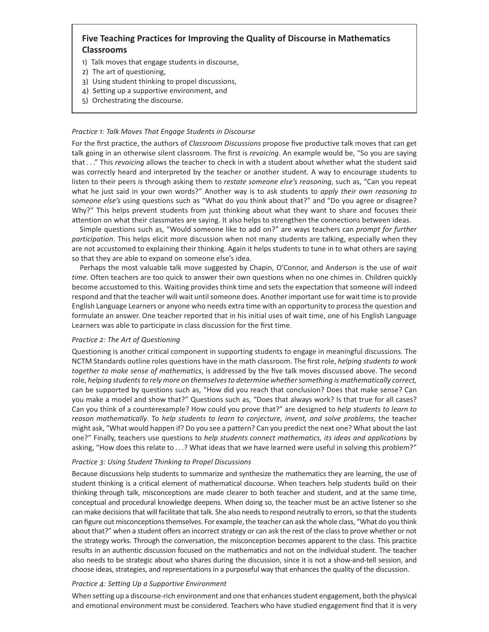## **Five Teaching Practices for Improving the Quality of Discourse in Mathematics Classrooms**

- 1) Talk moves that engage students in discourse,
- 2) The art of questioning,
- 3) Using student thinking to propel discussions,
- 4) Setting up a supportive environment, and
- 5) Orchestrating the discourse.

#### *Practice 1: Talk Moves That Engage Students in Discourse*

For the first practice, the authors of *Classroom Discussions* propose five productive talk moves that can get talk going in an otherwise silent classroom. The first is *revoicing*. An example would be, "So you are saying that . . ." This *revoicing* allows the teacher to check in with a student about whether what the student said was correctly heard and interpreted by the teacher or another student. A way to encourage students to listen to their peers is through asking them to *restate someone else's reasoning*, such as, "Can you repeat what he just said in your own words?" Another way is to ask students to *apply their own reasoning to someone else's* using questions such as "What do you think about that?" and "Do you agree or disagree? Why?" This helps prevent students from just thinking about what they want to share and focuses their attention on what their classmates are saying. It also helps to strengthen the connections between ideas.

Simple questions such as, "Would someone like to add on?" are ways teachers can *prompt for further participation*. This helps elicit more discussion when not many students are talking, especially when they are not accustomed to explaining their thinking. Again it helps students to tune in to what others are saying so that they are able to expand on someone else's idea.

Perhaps the most valuable talk move suggested by Chapin, O'Connor, and Anderson is the use of *wait time*. Often teachers are too quick to answer their own questions when no one chimes in. Children quickly become accustomed to this. Waiting provides think time and sets the expectation that someone will indeed respond and that the teacher will wait until someone does. Another important use for wait time is to provide English Language Learners or anyone who needs extra time with an opportunity to process the question and formulate an answer. One teacher reported that in his initial uses of wait time, one of his English Language Learners was able to participate in class discussion for the first time.

#### *Practice 2: The Art of Questioning*

Questioning is another critical component in supporting students to engage in meaningful discussions. The NCTM Standards outline roles questions have in the math classroom. The first role, *helping students to work* together to make sense of mathematics, is addressed by the five talk moves discussed above. The second role, *helping students to rely more on themselves to determine whether something is mathematically correct,* can be supported by questions such as, "How did you reach that conclusion? Does that make sense? Can you make a model and show that?" Questions such as, "Does that always work? Is that true for all cases? Can you think of a counterexample? How could you prove that?" are designed to *help students to learn to reason mathematically*. To *help students to learn to conjecture, invent, and solve problems,* the teacher might ask, "What would happen if? Do you see a pattern? Can you predict the next one? What about the last one?" Finally, teachers use questions to *help students connect mathematics, its ideas and applications* by asking, "How does this relate to . . .? What ideas that we have learned were useful in solving this problem?"

#### *Practice 3: Using Student Thinking to Propel Discussions*

Because discussions help students to summarize and synthesize the mathematics they are learning, the use of student thinking is a critical element of mathematical discourse. When teachers help students build on their thinking through talk, misconceptions are made clearer to both teacher and student, and at the same time, conceptual and procedural knowledge deepens. When doing so, the teacher must be an active listener so she can make decisions that will facilitate that talk. She also needs to respond neutrally to errors, so that the students can figure out misconceptions themselves. For example, the teacher can ask the whole class, "What do you think about that?" when a student offers an incorrect strategy or can ask the rest of the class to prove whether or not the strategy works. Through the conversation, the misconception becomes apparent to the class. This practice results in an authentic discussion focused on the mathematics and not on the individual student. The teacher also needs to be strategic about who shares during the discussion, since it is not a show-and-tell session, and choose ideas, strategies, and representations in a purposeful way that enhances the quality of the discussion.

#### *Practice 4: Setting Up a Supportive Environment*

When setting up a discourse-rich environment and one that enhances student engagement, both the physical and emotional environment must be considered. Teachers who have studied engagement find that it is very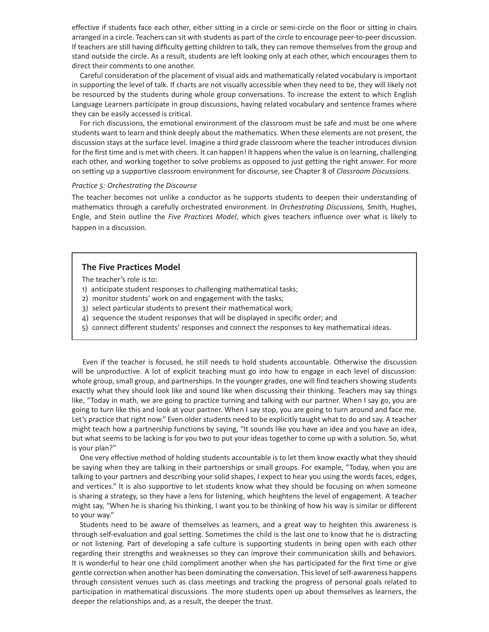effective if students face each other, either sitting in a circle or semi-circle on the floor or sitting in chairs arranged in a circle. Teachers can sit with students as part of the circle to encourage peer-to-peer discussion. If teachers are still having difficulty getting children to talk, they can remove themselves from the group and stand outside the circle. As a result, students are left looking only at each other, which encourages them to direct their comments to one another.

Careful consideration of the placement of visual aids and mathematically related vocabulary is important in supporting the level of talk. If charts are not visually accessible when they need to be, they will likely not be resourced by the students during whole group conversations. To increase the extent to which English Language Learners participate in group discussions, having related vocabulary and sentence frames where they can be easily accessed is critical.

For rich discussions, the emotional environment of the classroom must be safe and must be one where students want to learn and think deeply about the mathematics. When these elements are not present, the discussion stays at the surface level. Imagine a third grade classroom where the teacher introduces division for the first time and is met with cheers. It can happen! It happens when the value is on learning, challenging each other, and working together to solve problems as opposed to just getting the right answer. For more on setting up a supportive classroom environment for discourse, see Chapter 8 of *Classroom Discussions.*

#### *Practice 5: Orchestrating the Discourse*

The teacher becomes not unlike a conductor as he supports students to deepen their understanding of mathematics through a carefully orchestrated environment. In *Orchestrating Discussions,* Smith, Hughes, Engle, and Stein outline the *Five Practices Model*, which gives teachers influence over what is likely to happen in a discussion.

#### **The Five Practices Model**

The teacher's role is to:

- 1) anticipate student responses to challenging mathematical tasks;
- 2) monitor students' work on and engagement with the tasks;
- 3) select particular students to present their mathematical work;
- 4) sequence the student responses that will be displayed in specific order; and
- 5) connect different students' responses and connect the responses to key mathematical ideas.

 Even if the teacher is focused, he still needs to hold students accountable. Otherwise the discussion will be unproductive. A lot of explicit teaching must go into how to engage in each level of discussion: whole group, small group, and partnerships. In the younger grades, one will find teachers showing students exactly what they should look like and sound like when discussing their thinking. Teachers may say things like, "Today in math, we are going to practice turning and talking with our partner. When I say go, you are going to turn like this and look at your partner. When I say stop, you are going to turn around and face me. Let's practice that right now." Even older students need to be explicitly taught what to do and say. A teacher might teach how a partnership functions by saying, "It sounds like you have an idea and you have an idea, but what seems to be lacking is for you two to put your ideas together to come up with a solution. So, what is your plan?"

One very effective method of holding students accountable is to let them know exactly what they should be saying when they are talking in their partnerships or small groups. For example, "Today, when you are talking to your partners and describing your solid shapes, I expect to hear you using the words faces, edges, and vertices." It is also supportive to let students know what they should be focusing on when someone is sharing a strategy, so they have a lens for listening, which heightens the level of engagement. A teacher might say, "When he is sharing his thinking, I want you to be thinking of how his way is similar or different to your way."

Students need to be aware of themselves as learners, and a great way to heighten this awareness is through self-evaluation and goal setting. Sometimes the child is the last one to know that he is distracting or not listening. Part of developing a safe culture is supporting students in being open with each other regarding their strengths and weaknesses so they can improve their communication skills and behaviors. It is wonderful to hear one child compliment another when she has participated for the first time or give gentle correction when another has been dominating the conversation. This level of self-awareness happens through consistent venues such as class meetings and tracking the progress of personal goals related to participation in mathematical discussions. The more students open up about themselves as learners, the deeper the relationships and, as a result, the deeper the trust.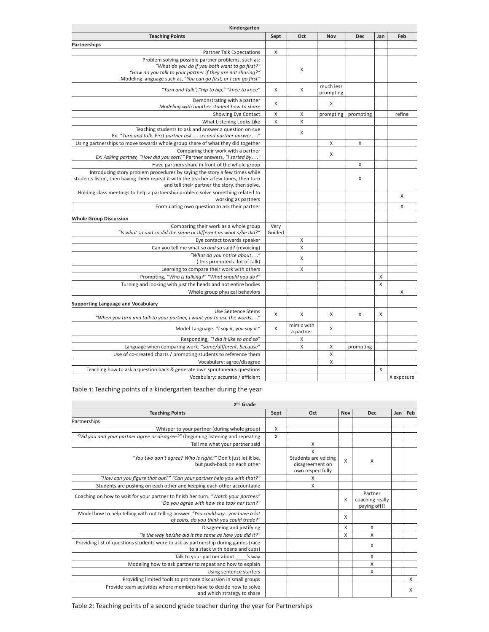| Kindergarten                                                                                                                                                                                                                            |                |                         |                        |           |     |            |
|-----------------------------------------------------------------------------------------------------------------------------------------------------------------------------------------------------------------------------------------|----------------|-------------------------|------------------------|-----------|-----|------------|
| <b>Teaching Points</b>                                                                                                                                                                                                                  | Sept           | Oct                     | <b>Nov</b>             | Dec       | Jan | Feb        |
| <b>Partnerships</b>                                                                                                                                                                                                                     |                |                         |                        |           |     |            |
| <b>Partner Talk Expectations</b>                                                                                                                                                                                                        | X              |                         |                        |           |     |            |
| Problem solving possible partner problems, such as:<br>"What do you do if you both want to go first?"<br>"How do you talk to your partner if they are not sharing?"<br>Modeling language such as, "You can go first, or I can go first" |                | X                       |                        |           |     |            |
| "Turn and Talk", "hip to hip," "knee to knee"                                                                                                                                                                                           | Χ              | Χ                       | much less<br>prompting |           |     |            |
| Demonstrating with a partner<br>Modeling with another student how to share                                                                                                                                                              | X              |                         | Χ                      |           |     |            |
| Showing Eye Contact                                                                                                                                                                                                                     | X              | X                       | prompting              | prompting |     | refine     |
| What Listening Looks Like                                                                                                                                                                                                               | $\mathsf{X}$   | X                       |                        |           |     |            |
| Teaching students to ask and answer a question on cue<br>Ex: "Turn and talk. First partner ask second partner answer"                                                                                                                   |                | X                       |                        |           |     |            |
| Using partnerships to move towards whole group share of what they did together                                                                                                                                                          |                |                         | X                      | X         |     |            |
| Comparing their work with a partner<br>Ex: Asking partner, "How did you sort?" Partner answers, "I sorted by"                                                                                                                           |                |                         | X                      |           |     |            |
| Have partners share in front of the whole group                                                                                                                                                                                         |                |                         |                        | X         |     |            |
| Introducing story problem procedures by saying the story a few times while<br>students listen, then having them repeat it with the teacher a few times, then turn<br>and tell their partner the story, then solve.                      |                |                         |                        | X         |     |            |
| Holding class meetings to help a partnership problem solve something related to<br>working as partners                                                                                                                                  |                |                         |                        |           |     | X          |
| Formulating own question to ask their partner                                                                                                                                                                                           |                |                         |                        |           |     | X          |
| <b>Whole Group Discussion</b>                                                                                                                                                                                                           |                |                         |                        |           |     |            |
| Comparing their work as a whole group<br>"Is what so and so did the same or different as what s/he did?"                                                                                                                                | Very<br>Guided |                         |                        |           |     |            |
| Eye contact towards speaker                                                                                                                                                                                                             |                | Χ                       |                        |           |     |            |
| Can you tell me what so and so said? (revoicing)                                                                                                                                                                                        |                | X                       |                        |           |     |            |
| "What do you notice about"<br>(this promoted a lot of talk)                                                                                                                                                                             |                | X                       |                        |           |     |            |
| Learning to compare their work with others                                                                                                                                                                                              |                | X                       |                        |           |     |            |
| Prompting, "Who is talking?" "What should you do?"                                                                                                                                                                                      |                |                         |                        |           | X   |            |
| Turning and looking with just the heads and not entire bodies                                                                                                                                                                           |                |                         |                        |           | X   |            |
| Whole group physical behaviors                                                                                                                                                                                                          |                |                         |                        |           |     | X          |
| <b>Supporting Language and Vocabulary</b>                                                                                                                                                                                               |                |                         |                        |           |     |            |
| Use Sentence Stems<br>"When you turn and talk to your partner, I want you to use the words"                                                                                                                                             | X              | X                       | X                      | X         | X   |            |
| Model Language: "I say it, you say it."                                                                                                                                                                                                 | X              | mimic with<br>a partner | Χ                      |           |     |            |
| Responding, "I did it like so and so"                                                                                                                                                                                                   |                | X                       |                        |           |     |            |
| Language when comparing work: "same/different, because"                                                                                                                                                                                 |                | Χ                       | X                      | prompting |     |            |
| Use of co-created charts / prompting students to reference them                                                                                                                                                                         |                |                         | X                      |           |     |            |
| Vocabulary: agree/disagree                                                                                                                                                                                                              |                |                         | X                      |           |     |            |
| Teaching how to ask a question back & generate own spontaneous questions                                                                                                                                                                |                |                         |                        |           | X   |            |
| Vocabulary: accurate / efficient                                                                                                                                                                                                        |                |                         |                        |           |     | X exposure |

### Table 1: Teaching points of a kindergarten teacher during the year

| 2 <sup>nd</sup> Grade                                                                                                            |             |                                                                  |         |                                            |     |     |  |  |
|----------------------------------------------------------------------------------------------------------------------------------|-------------|------------------------------------------------------------------|---------|--------------------------------------------|-----|-----|--|--|
| <b>Teaching Points</b>                                                                                                           | Sept<br>Oct |                                                                  | Nov     | <b>Dec</b>                                 | Jan | Feb |  |  |
| Partnerships                                                                                                                     |             |                                                                  |         |                                            |     |     |  |  |
| Whisper to your partner (during whole group)                                                                                     | X           |                                                                  |         |                                            |     |     |  |  |
| "Did you and your partner agree or disagree?" (beginning listening and repeating                                                 | X           |                                                                  |         |                                            |     |     |  |  |
| Tell me what your partner said                                                                                                   |             | Χ                                                                |         |                                            |     |     |  |  |
| "You two don't agree? Who is right?" Don't just let it be,<br>but push-back on each other                                        |             | X<br>Students are voicing<br>disagreement on<br>own respectfully | $\sf X$ | X                                          |     |     |  |  |
| "How can you figure that out?" "Can your partner help you with that?"                                                            |             | X                                                                |         |                                            |     |     |  |  |
| Students are pushing on each other and keeping each other accountable                                                            |             | X                                                                |         |                                            |     |     |  |  |
| Coaching on how to wait for your partner to finish her turn. "Watch your partner."<br>"Do you agree with how she took her turn?" |             |                                                                  | X       | Partner<br>coaching really<br>paying off!! |     |     |  |  |
| Model how to help telling with out telling answer. "You could sayyou have a lot<br>of coins, do you think you could trade?"      |             |                                                                  | X       |                                            |     |     |  |  |
| Disagreeing and justifying                                                                                                       |             |                                                                  | X       | $\mathsf{x}$                               |     |     |  |  |
| "Is the way he/she did it the same as how you did it?"                                                                           |             |                                                                  | X       | X                                          |     |     |  |  |
| Providing list of questions students were to ask as partnership during games (race<br>to a stack with beans and cups)            |             |                                                                  |         | X                                          |     |     |  |  |
| Talk to your partner about<br>'s way                                                                                             |             |                                                                  |         | X                                          |     |     |  |  |
| Modeling how to ask partner to repeat and how to explain                                                                         |             |                                                                  |         | X                                          |     |     |  |  |
| Using sentence starters                                                                                                          |             |                                                                  |         | X                                          |     |     |  |  |
| Providing limited tools to promote discussion in small groups                                                                    |             |                                                                  |         |                                            |     | X   |  |  |
| Provide team activities where members have to decide how to solve<br>and which strategy to share                                 |             |                                                                  |         |                                            |     | X   |  |  |

Table 2: Teaching points of a second grade teacher during the year for Partnerships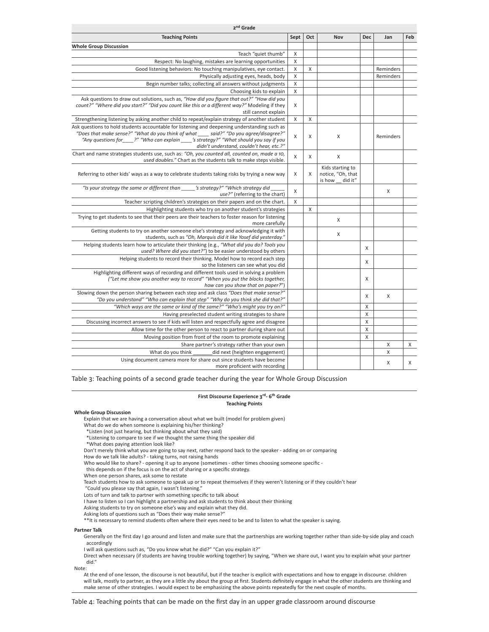| 2 <sup>nd</sup> Grade                                                                                                                                                                                                                                                                                                  |              |     |                                                            |            |           |     |  |  |  |
|------------------------------------------------------------------------------------------------------------------------------------------------------------------------------------------------------------------------------------------------------------------------------------------------------------------------|--------------|-----|------------------------------------------------------------|------------|-----------|-----|--|--|--|
| <b>Teaching Points</b>                                                                                                                                                                                                                                                                                                 | Sept         | Oct | <b>Nov</b>                                                 | <b>Dec</b> | Jan       | Feb |  |  |  |
| <b>Whole Group Discussion</b>                                                                                                                                                                                                                                                                                          |              |     |                                                            |            |           |     |  |  |  |
| Teach "quiet thumb"                                                                                                                                                                                                                                                                                                    | X            |     |                                                            |            |           |     |  |  |  |
| Respect: No laughing, mistakes are learning opportunities                                                                                                                                                                                                                                                              | $\mathsf{X}$ |     |                                                            |            |           |     |  |  |  |
| Good listening behaviors: No touching manipulatives, eye contact.                                                                                                                                                                                                                                                      | X            | X   |                                                            |            | Reminders |     |  |  |  |
| Physically adjusting eyes, heads, body                                                                                                                                                                                                                                                                                 | X            |     |                                                            |            | Reminders |     |  |  |  |
| Begin number talks; collecting all answers without judgments                                                                                                                                                                                                                                                           | $\mathsf X$  |     |                                                            |            |           |     |  |  |  |
| Choosing kids to explain                                                                                                                                                                                                                                                                                               | $\mathsf X$  |     |                                                            |            |           |     |  |  |  |
| Ask questions to draw out solutions, such as, "How did you figure that out?" "How did you<br>count?" "Where did you start?" "Did you count like this or a different way?" Modeling if they<br>still cannot explain                                                                                                     | X            |     |                                                            |            |           |     |  |  |  |
| Strengthening listening by asking another child to repeat/explain strategy of another student                                                                                                                                                                                                                          | X            | X   |                                                            |            |           |     |  |  |  |
| Ask questions to hold students accountable for listening and deepening understanding such as<br>"Does that make sense?" "What do you think of what ___ said?" "Do you agree/disagree?"<br>"Any questions for ?" "Who can explain 's strategy?" "What should you say if you<br>didn't understand, couldn't hear, etc.?" | X            | X   | X                                                          |            | Reminders |     |  |  |  |
| Chart and name strategies students use, such as: "Oh, you counted all, counted on, made a 10,<br>used doubles." Chart as the students talk to make steps visible.                                                                                                                                                      | X            | X   | X                                                          |            |           |     |  |  |  |
| Referring to other kids' ways as a way to celebrate students taking risks by trying a new way                                                                                                                                                                                                                          | X            | X   | Kids starting to<br>notice, "Oh, that<br>is how<br>did it" |            |           |     |  |  |  |
| "Is your strategy the same or different than 's strategy?" "Which strategy did<br>use?" (referring to the chart)                                                                                                                                                                                                       | X            |     |                                                            |            | X         |     |  |  |  |
| Teacher scripting children's strategies on their papers and on the chart.                                                                                                                                                                                                                                              | X            |     |                                                            |            |           |     |  |  |  |
| Highlighting students who try on another student's strategies                                                                                                                                                                                                                                                          |              | X   |                                                            |            |           |     |  |  |  |
| Trying to get students to see that their peers are their teachers to foster reason for listening<br>more carefully                                                                                                                                                                                                     |              |     | X                                                          |            |           |     |  |  |  |
| Getting students to try on another someone else's strategy and acknowledging it with<br>students, such as "Oh, Marquis did it like Yosef did yesterday."                                                                                                                                                               |              |     | X                                                          |            |           |     |  |  |  |
| Helping students learn how to articulate their thinking (e.g., "What did you do? Tools you<br>used? Where did you start?") to be easier understood by others                                                                                                                                                           |              |     |                                                            | X          |           |     |  |  |  |
| Helping students to record their thinking. Model how to record each step<br>so the listeners can see what you did                                                                                                                                                                                                      |              |     |                                                            | X          |           |     |  |  |  |
| Highlighting different ways of recording and different tools used in solving a problem<br>("Let me show you another way to record" "When you put the blocks together,<br>how can you show that on paper?")                                                                                                             |              |     |                                                            | X          |           |     |  |  |  |
| Slowing down the person sharing between each step and ask class "Does that make sense?"<br>"Do you understand" "Who can explain that step" "Why do you think she did that?"                                                                                                                                            |              |     |                                                            | Χ          | X         |     |  |  |  |
| "Which ways are the same or kind of the same?" "Who's might you try on?"                                                                                                                                                                                                                                               |              |     |                                                            | X          |           |     |  |  |  |
| Having preselected student writing strategies to share                                                                                                                                                                                                                                                                 |              |     |                                                            | X          |           |     |  |  |  |
| Discussing incorrect answers to see if kids will listen and respectfully agree and disagree                                                                                                                                                                                                                            |              |     |                                                            | X          |           |     |  |  |  |
| Allow time for the other person to react to partner during share out                                                                                                                                                                                                                                                   |              |     |                                                            | X          |           |     |  |  |  |
| Moving position from front of the room to promote explaining                                                                                                                                                                                                                                                           |              |     |                                                            | Χ          |           |     |  |  |  |
| Share partner's strategy rather than your own                                                                                                                                                                                                                                                                          |              |     |                                                            |            | X         | X   |  |  |  |
| What do you think<br>did next (heighten engagement)                                                                                                                                                                                                                                                                    |              |     |                                                            |            | X         |     |  |  |  |
| Using document camera more for share out since students have become<br>more proficient with recording                                                                                                                                                                                                                  |              |     |                                                            |            | X         | X   |  |  |  |

Table 3: Teaching points of a second grade teacher during the year for Whole Group Discussion

**First Discourse Experience 3rd- 6th Grade Teaching Points**

#### **Whole Group Discussion**

Explain that we are having a conversation about what we built (model for problem given)

What do we do when someone is explaining his/her thinking?

\*Listen (not just hearing, but thinking about what they said)

\*Listening to compare to see if we thought the same thing the speaker did

\*What does paying attention look like?

Don't merely think what you are going to say next, rather respond back to the speaker - adding on or comparing

How do we talk like adults? - taking turns, not raising hands

Who would like to share? - opening it up to anyone (sometimes - other times choosing someone specific -

this depends on if the focus is on the act of sharing or a specific strategy.

When one person shares, ask some to restate

Teach students how to ask someone to speak up or to repeat themselves if they weren't listening or if they couldn't hear "Could you please say that again, I wasn't listening."

Lots of turn and talk to partner with something specific to talk about

I have to listen so I can highlight a partnership and ask students to think about their thinking Asking students to try on someone else's way and explain what they did.

Asking lots of questions such as "Does their way make sense?"

\*\*It is necessary to remind students often where their eyes need to be and to listen to what the speaker is saying.

**Partner Talk**

Generally on the first day I go around and listen and make sure that the partnerships are working together rather than side-by-side play and coach accordingly

I will ask questions such as, "Do you know what he did?" "Can you explain it?"

Direct when necessary (if students are having trouble working together) by saying, "When we share out, I want you to explain what your partner did."

Note:

At the end of one lesson, the discourse is not beautiful, but if the teacher is explicit with expectations and how to engage in discourse. children will talk, mostly to partner, as they are a little shy about the group at first. Students definitely engage in what the other students are thinking and make sense of other strategies. I would expect to be emphasizing the above points repeatedly for the next couple of months.